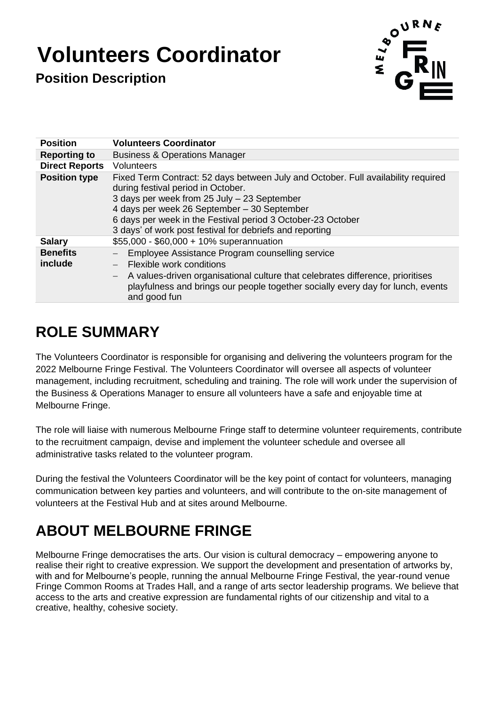# **Volunteers Coordinator**

**Position Description** 



| <b>Position</b>            | <b>Volunteers Coordinator</b>                                                                                                                                                                                                                                                                                                                    |
|----------------------------|--------------------------------------------------------------------------------------------------------------------------------------------------------------------------------------------------------------------------------------------------------------------------------------------------------------------------------------------------|
| <b>Reporting to</b>        | <b>Business &amp; Operations Manager</b>                                                                                                                                                                                                                                                                                                         |
| <b>Direct Reports</b>      | <b>Volunteers</b>                                                                                                                                                                                                                                                                                                                                |
| <b>Position type</b>       | Fixed Term Contract: 52 days between July and October. Full availability required<br>during festival period in October.<br>3 days per week from 25 July - 23 September<br>4 days per week 26 September - 30 September<br>6 days per week in the Festival period 3 October-23 October<br>3 days' of work post festival for debriefs and reporting |
| <b>Salary</b>              | \$55,000 - \$60,000 + 10% superannuation                                                                                                                                                                                                                                                                                                         |
| <b>Benefits</b><br>include | Employee Assistance Program counselling service<br>Flexible work conditions<br>A values-driven organisational culture that celebrates difference, prioritises<br>$\overline{\phantom{0}}$<br>playfulness and brings our people together socially every day for lunch, events<br>and good fun                                                     |

### **ROLE SUMMARY**

The Volunteers Coordinator is responsible for organising and delivering the volunteers program for the 2022 Melbourne Fringe Festival. The Volunteers Coordinator will oversee all aspects of volunteer management, including recruitment, scheduling and training. The role will work under the supervision of the Business & Operations Manager to ensure all volunteers have a safe and enjoyable time at Melbourne Fringe.

The role will liaise with numerous Melbourne Fringe staff to determine volunteer requirements, contribute to the recruitment campaign, devise and implement the volunteer schedule and oversee all administrative tasks related to the volunteer program.

During the festival the Volunteers Coordinator will be the key point of contact for volunteers, managing communication between key parties and volunteers, and will contribute to the on-site management of volunteers at the Festival Hub and at sites around Melbourne.

## **ABOUT MELBOURNE FRINGE**

Melbourne Fringe democratises the arts. Our vision is cultural democracy – empowering anyone to realise their right to creative expression. We support the development and presentation of artworks by, with and for Melbourne's people, running the annual Melbourne Fringe Festival, the year-round venue Fringe Common Rooms at Trades Hall, and a range of arts sector leadership programs. We believe that access to the arts and creative expression are fundamental rights of our citizenship and vital to a creative, healthy, cohesive society.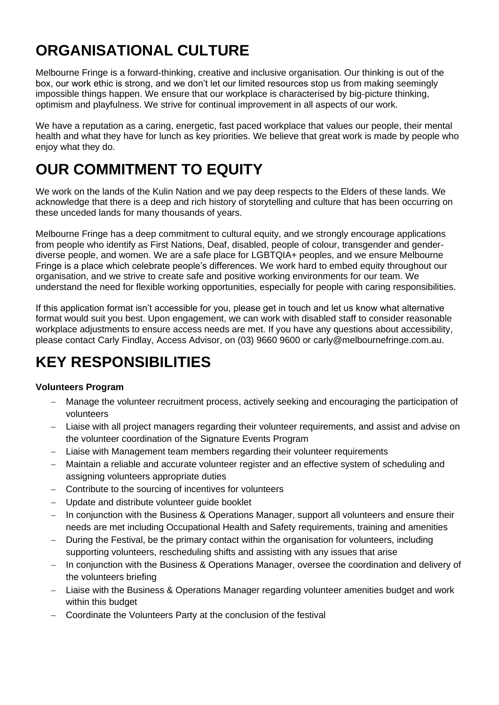### **ORGANISATIONAL CULTURE**

Melbourne Fringe is a forward-thinking, creative and inclusive organisation. Our thinking is out of the box, our work ethic is strong, and we don't let our limited resources stop us from making seemingly impossible things happen. We ensure that our workplace is characterised by big-picture thinking, optimism and playfulness. We strive for continual improvement in all aspects of our work.

We have a reputation as a caring, energetic, fast paced workplace that values our people, their mental health and what they have for lunch as key priorities. We believe that great work is made by people who enjoy what they do.

### **OUR COMMITMENT TO EQUITY**

We work on the lands of the Kulin Nation and we pay deep respects to the Elders of these lands. We acknowledge that there is a deep and rich history of storytelling and culture that has been occurring on these unceded lands for many thousands of years.

Melbourne Fringe has a deep commitment to cultural equity, and we strongly encourage applications from people who identify as First Nations, Deaf, disabled, people of colour, transgender and genderdiverse people, and women. We are a safe place for LGBTQIA+ peoples, and we ensure Melbourne Fringe is a place which celebrate people's differences. We work hard to embed equity throughout our organisation, and we strive to create safe and positive working environments for our team. We understand the need for flexible working opportunities, especially for people with caring responsibilities.

If this application format isn't accessible for you, please get in touch and let us know what alternative format would suit you best. Upon engagement, we can work with disabled staff to consider reasonable workplace adjustments to ensure access needs are met. If you have any questions about accessibility, please contact Carly Findlay, Access Advisor, on (03) 9660 9600 or [carly@melbournefringe.com.au.](mailto:carly@melbournefringe.com.au)

### **KEY RESPONSIBILITIES**

#### **Volunteers Program**

- Manage the volunteer recruitment process, actively seeking and encouraging the participation of volunteers
- − Liaise with all project managers regarding their volunteer requirements, and assist and advise on the volunteer coordination of the Signature Events Program
- Liaise with Management team members regarding their volunteer requirements
- − Maintain a reliable and accurate volunteer register and an effective system of scheduling and assigning volunteers appropriate duties
- Contribute to the sourcing of incentives for volunteers
- Update and distribute volunteer quide booklet
- In conjunction with the Business & Operations Manager, support all volunteers and ensure their needs are met including Occupational Health and Safety requirements, training and amenities
- − During the Festival, be the primary contact within the organisation for volunteers, including supporting volunteers, rescheduling shifts and assisting with any issues that arise
- − In conjunction with the Business & Operations Manager, oversee the coordination and delivery of the volunteers briefing
- − Liaise with the Business & Operations Manager regarding volunteer amenities budget and work within this budget
- − Coordinate the Volunteers Party at the conclusion of the festival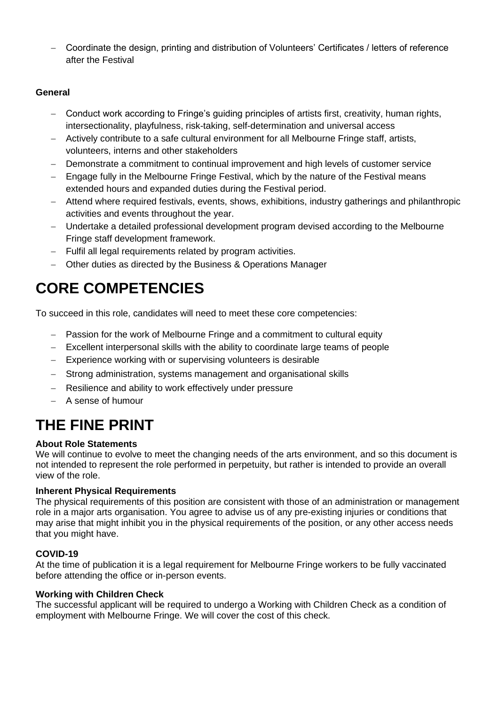− Coordinate the design, printing and distribution of Volunteers' Certificates / letters of reference after the Festival

#### **General**

- − Conduct work according to Fringe's guiding principles of artists first, creativity, human rights, intersectionality, playfulness, risk-taking, self-determination and universal access
- − Actively contribute to a safe cultural environment for all Melbourne Fringe staff, artists, volunteers, interns and other stakeholders
- − Demonstrate a commitment to continual improvement and high levels of customer service
- Engage fully in the Melbourne Fringe Festival, which by the nature of the Festival means extended hours and expanded duties during the Festival period.
- − Attend where required festivals, events, shows, exhibitions, industry gatherings and philanthropic activities and events throughout the year.
- − Undertake a detailed professional development program devised according to the Melbourne Fringe staff development framework.
- − Fulfil all legal requirements related by program activities.
- − Other duties as directed by the Business & Operations Manager

### **CORE COMPETENCIES**

To succeed in this role, candidates will need to meet these core competencies:

- Passion for the work of Melbourne Fringe and a commitment to cultural equity
- − Excellent interpersonal skills with the ability to coordinate large teams of people
- − Experience working with or supervising volunteers is desirable
- − Strong administration, systems management and organisational skills
- − Resilience and ability to work effectively under pressure
- − A sense of humour

### **THE FINE PRINT**

#### **About Role Statements**

We will continue to evolve to meet the changing needs of the arts environment, and so this document is not intended to represent the role performed in perpetuity, but rather is intended to provide an overall view of the role.

#### **Inherent Physical Requirements**

The physical requirements of this position are consistent with those of an administration or management role in a major arts organisation. You agree to advise us of any pre-existing injuries or conditions that may arise that might inhibit you in the physical requirements of the position, or any other access needs that you might have.

#### **COVID-19**

At the time of publication it is a legal requirement for Melbourne Fringe workers to be fully vaccinated before attending the office or in-person events.

#### **Working with Children Check**

The successful applicant will be required to undergo a Working with Children Check as a condition of employment with Melbourne Fringe. We will cover the cost of this check.